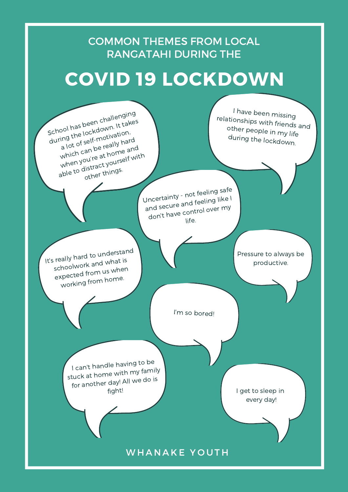Uncertainty - not feeling safe and secure and feeling like I don't have control over my life.

It's really hard to understand the little state of the little productive.

School has been challenging

during the lockdown. It takes

ing the lockue<br>a lot of self-motivation,<br>a lot of self-motivation,

which can be really hard

when you're at home and<br>able to distract yourself wit which compute at home<br>when you're at home<br>able to distract yourself with

other things.

## COVID 19 LOCKDOWN

COMMON THEMES FROM LOCAL RANGATAHI DURING THE

> <sup>I</sup> have been missing rela Otł tionships with friends and t her people in my life during the lockdown.



Pressure to always be